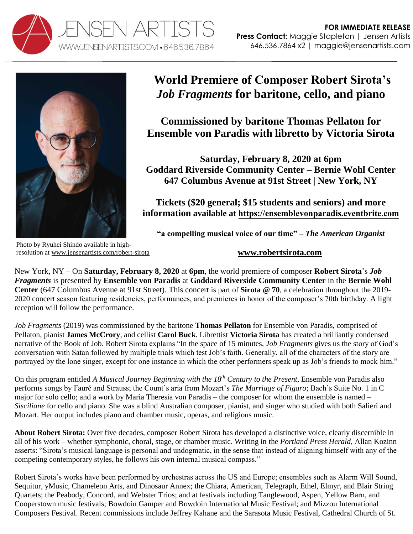



## **World Premiere of Composer Robert Sirota's**  *Job Fragments* **for baritone, cello, and piano**

**Commissioned by baritone Thomas Pellaton for Ensemble von Paradis with libretto by Victoria Sirota** 

**Saturday, February 8, 2020 at 6pm Goddard Riverside Community Center – Bernie Wohl Center 647 Columbus Avenue at 91st Street | New York, NY** 

**Tickets (\$20 general; \$15 students and seniors) and more information available at <https://ensemblevonparadis.eventbrite.com>**

**"a compelling musical voice of our time" –** *The American Organist*

Photo by Ryuhei Shindo available in highresolution at [www.jensenartists.com/robert-sirota](http://www.jensenartists.com/robert-sirota)

## **[www.robertsirota.com](http://www.robertsirota.com/)**

New York, NY – On **Saturday, February 8, 2020** at **6pm**, the world premiere of composer **Robert Sirota**'s *Job Fragments* is presented by **Ensemble von Paradis** at **Goddard Riverside Community Center** in the **Bernie Wohl Center** (647 Columbus Avenue at 91st Street). This concert is part of **Sirota @ 70**, a celebration throughout the 2019- 2020 concert season featuring residencies, performances, and premieres in honor of the composer's 70th birthday. A light reception will follow the performance.

*Job Fragments* (2019) was commissioned by the baritone **Thomas Pellaton** for Ensemble von Paradis, comprised of Pellaton, pianist **James McCrory**, and cellist **Carol Buck**. Librettist **Victoria Sirota** has created a brilliantly condensed narrative of the Book of Job. Robert Sirota explains "In the space of 15 minutes, *Job Fragments* gives us the story of God's conversation with Satan followed by multiple trials which test Job's faith. Generally, all of the characters of the story are portrayed by the lone singer, except for one instance in which the other performers speak up as Job's friends to mock him."

On this program entitled *A Musical Journey Beginning with the 18th Century to the Present*, Ensemble von Paradis also performs songs by Fauré and Strauss; the Count's aria from Mozart's *The Marriage of Figaro*; Bach's Suite No. 1 in C major for solo cello; and a work by Maria Theresia von Paradis – the composer for whom the ensemble is named – *Sisciliane* for cello and piano. She was a blind Australian composer, pianist, and singer who studied with both Salieri and Mozart. Her output includes piano and chamber music, operas, and religious music.

**About Robert Sirota:** Over five decades, composer Robert Sirota has developed a distinctive voice, clearly discernible in all of his work – whether symphonic, choral, stage, or chamber music. Writing in the *Portland Press Herald*, Allan Kozinn asserts: "Sirota's musical language is personal and undogmatic, in the sense that instead of aligning himself with any of the competing contemporary styles, he follows his own internal musical compass."

Robert Sirota's works have been performed by orchestras across the US and Europe; ensembles such as Alarm Will Sound, Sequitur, yMusic, Chameleon Arts, and Dinosaur Annex; the Chiara, American, Telegraph, Ethel, Elmyr, and Blair String Quartets; the Peabody, Concord, and Webster Trios; and at festivals including Tanglewood, Aspen, Yellow Barn, and Cooperstown music festivals; Bowdoin Gamper and Bowdoin International Music Festival; and Mizzou International Composers Festival. Recent commissions include Jeffrey Kahane and the Sarasota Music Festival, Cathedral Church of St.